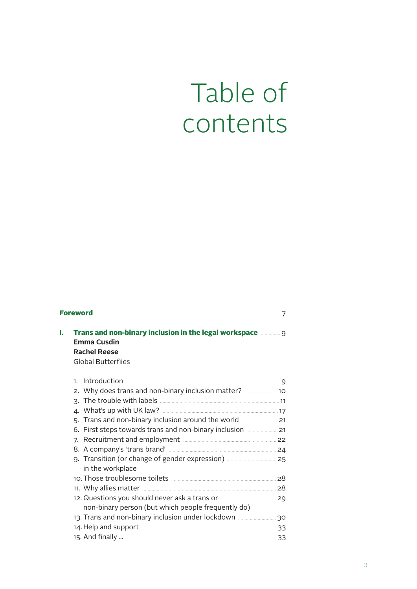## Table of contents

| L | Trans and non-binary inclusion in the legal workspace <b>mannings</b><br><b>Emma Cusdin</b><br><b>Rachel Reese</b><br><b>Global Butterflies</b> |  |
|---|-------------------------------------------------------------------------------------------------------------------------------------------------|--|
|   | 1 <sup>1</sup>                                                                                                                                  |  |
|   |                                                                                                                                                 |  |
|   |                                                                                                                                                 |  |
|   |                                                                                                                                                 |  |
|   |                                                                                                                                                 |  |
|   |                                                                                                                                                 |  |
|   |                                                                                                                                                 |  |
|   |                                                                                                                                                 |  |
|   | in the workplace                                                                                                                                |  |
|   |                                                                                                                                                 |  |
|   |                                                                                                                                                 |  |
|   | non-binary person (but which people frequently do)                                                                                              |  |
|   |                                                                                                                                                 |  |
|   | 14. Help and support <b>Manual According to 23</b> 33                                                                                           |  |
|   |                                                                                                                                                 |  |
|   |                                                                                                                                                 |  |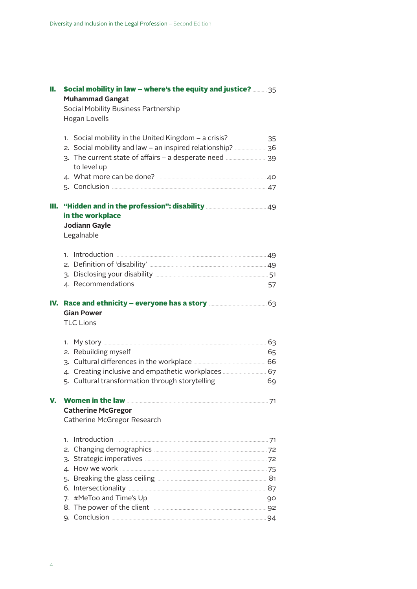| н. | <b>Social mobility in law – where's the equity and justice?</b> 35<br><b>Muhammad Gangat</b><br>Social Mobility Business Partnership<br>Hogan Lovells                                                |  |
|----|------------------------------------------------------------------------------------------------------------------------------------------------------------------------------------------------------|--|
|    | to level up                                                                                                                                                                                          |  |
|    |                                                                                                                                                                                                      |  |
| ш. | in the workplace<br>Jodiann Gayle<br>Legalnable                                                                                                                                                      |  |
|    |                                                                                                                                                                                                      |  |
|    | IV. Race and ethnicity - everyone has a story <b>manually and story</b> 63<br><b>Gian Power</b><br><b>TLC Lions</b>                                                                                  |  |
|    |                                                                                                                                                                                                      |  |
| V. | <b>Catherine McGregor</b><br>Catherine McGregor Research                                                                                                                                             |  |
|    | Introduction 21 Marshall 2014 19:30 Marshall 2014<br>$\mathbf{1}$ .<br>7.<br>8. The power of the client <b>Commission Contract Contract Contract Contract Contract Contract Contract Contract Co</b> |  |
|    | 94 Conclusion 2008 2009 2010 2020 2031 204                                                                                                                                                           |  |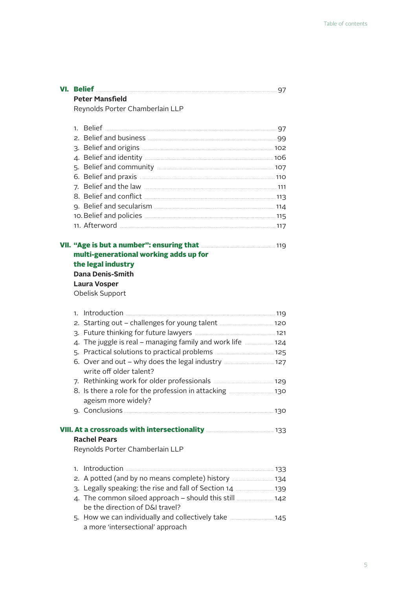| Reynolds Porter Chamberlain LLP                                                                     |  |
|-----------------------------------------------------------------------------------------------------|--|
|                                                                                                     |  |
|                                                                                                     |  |
| 3. Belief and origins <b>manually and the Contract of August</b> 102                                |  |
|                                                                                                     |  |
|                                                                                                     |  |
|                                                                                                     |  |
|                                                                                                     |  |
|                                                                                                     |  |
|                                                                                                     |  |
|                                                                                                     |  |
|                                                                                                     |  |
| VII. "Age is but a number": ensuring that <b>Manual Accord Age is but a number</b> ": ensuring that |  |
| multi-generational working adds up for                                                              |  |
| the legal industry                                                                                  |  |
| <b>Dana Denis-Smith</b>                                                                             |  |
| <b>Laura Vosper</b>                                                                                 |  |
| Obelisk Support                                                                                     |  |
|                                                                                                     |  |
|                                                                                                     |  |
|                                                                                                     |  |
|                                                                                                     |  |
| 4. The juggle is real - managing family and work life  124                                          |  |
|                                                                                                     |  |
|                                                                                                     |  |
| write off older talent?                                                                             |  |
|                                                                                                     |  |
|                                                                                                     |  |
| ageism more widely?                                                                                 |  |
|                                                                                                     |  |
| VIII. At a crossroads with intersectionality <b>Manual Action 133</b>                               |  |
| <b>Rachel Pears</b>                                                                                 |  |
| Reynolds Porter Chamberlain LLP                                                                     |  |
| 1.                                                                                                  |  |
| 2. A potted (and by no means complete) history  134                                                 |  |
| 3. Legally speaking: the rise and fall of Section 14 <b></b> 139                                    |  |
| be the direction of D&I travel?                                                                     |  |

**VI. Belief** . . . . . . . . . . . . . . . . . . . . . . . . . . . . . . . . . . . . . . . . . . . . . . . . . . . . . . . . . . . . . . . . . . . . . . . . . . . . . . . . . . . . . . . . . . . . . . . . . . . . . . . . . . . . . . . . . . . . . . . . . . . . . . . . . . . . . . . . . . 97

**Peter Mansfield**

5. How we can individually and collectively take ................................ 145 a more 'intersectional' approach